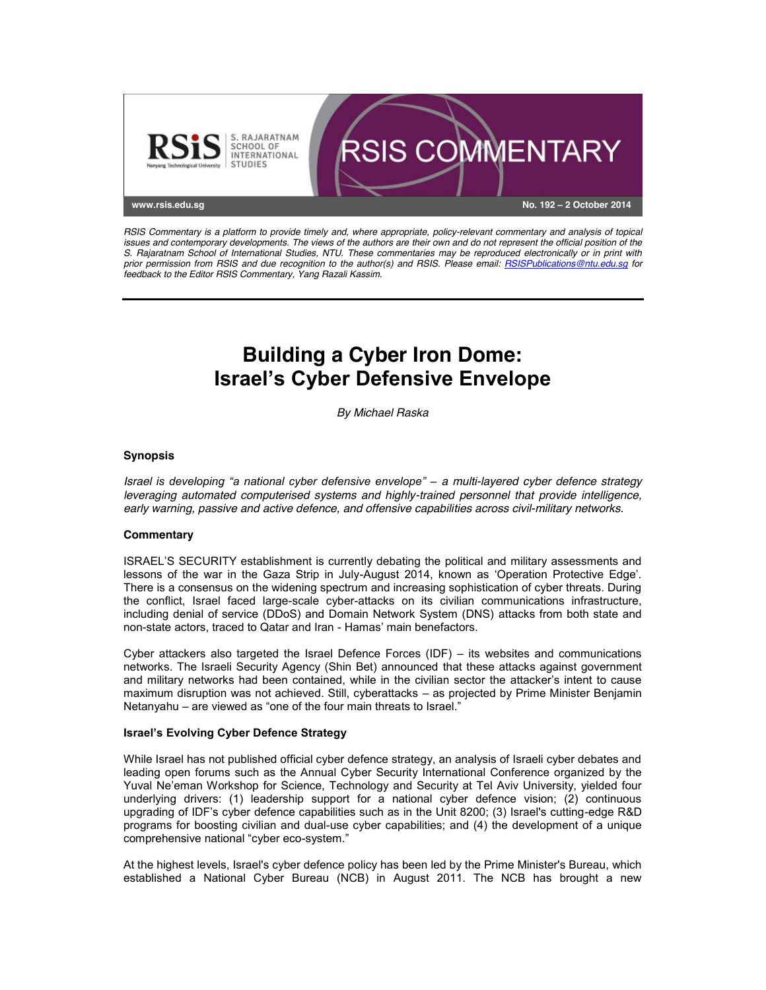

*RSIS Commentary is a platform to provide timely and, where appropriate, policy-relevant commentary and analysis of topical issues and contemporary developments. The views of the authors are their own and do not represent the official position of the S. Rajaratnam School of International Studies, NTU. These commentaries may be reproduced electronically or in print with prior permission from RSIS and due recognition to the author(s) and RSIS. Please email: RSISPublications@ntu.edu.sg for feedback to the Editor RSIS Commentary, Yang Razali Kassim.*

# **Building a Cyber Iron Dome: Israel's Cyber Defensive Envelope**

*By Michael Raska*

## **Synopsis**

*Israel is developing "a national cyber defensive envelope" – a multi-layered cyber defence strategy leveraging automated computerised systems and highly-trained personnel that provide intelligence, early warning, passive and active defence, and offensive capabilities across civil-military networks.*

#### **Commentary**

ISRAEL'S SECURITY establishment is currently debating the political and military assessments and lessons of the war in the Gaza Strip in July-August 2014, known as 'Operation Protective Edge'. There is a consensus on the widening spectrum and increasing sophistication of cyber threats. During the conflict, Israel faced large-scale cyber-attacks on its civilian communications infrastructure, including denial of service (DDoS) and Domain Network System (DNS) attacks from both state and non-state actors, traced to Qatar and Iran - Hamas' main benefactors.

Cyber attackers also targeted the Israel Defence Forces (IDF) – its websites and communications networks. The Israeli Security Agency (Shin Bet) announced that these attacks against government and military networks had been contained, while in the civilian sector the attacker's intent to cause maximum disruption was not achieved. Still, cyberattacks – as projected by Prime Minister Benjamin Netanyahu – are viewed as "one of the four main threats to Israel."

#### **Israel's Evolving Cyber Defence Strategy**

While Israel has not published official cyber defence strategy, an analysis of Israeli cyber debates and leading open forums such as the Annual Cyber Security International Conference organized by the Yuval Ne'eman Workshop for Science, Technology and Security at Tel Aviv University, yielded four underlying drivers: (1) leadership support for a national cyber defence vision; (2) continuous upgrading of IDF's cyber defence capabilities such as in the Unit 8200; (3) Israel's cutting-edge R&D programs for boosting civilian and dual-use cyber capabilities; and (4) the development of a unique comprehensive national "cyber eco-system."

At the highest levels, Israel's cyber defence policy has been led by the Prime Minister's Bureau, which established a National Cyber Bureau (NCB) in August 2011. The NCB has brought a new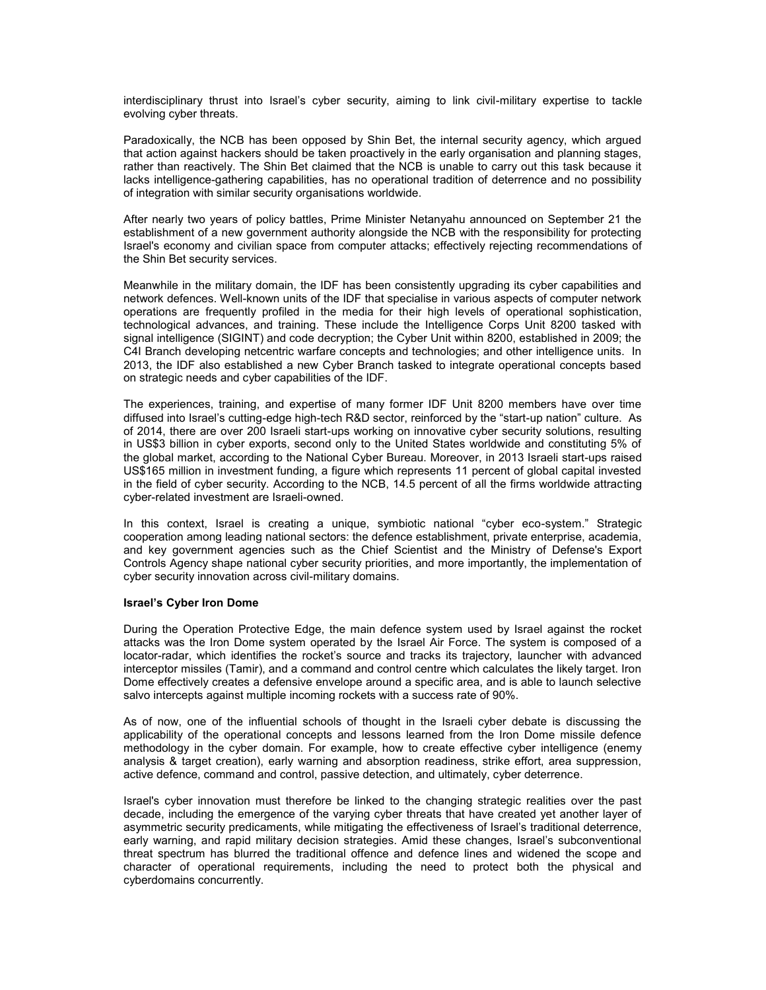interdisciplinary thrust into Israel's cyber security, aiming to link civil-military expertise to tackle evolving cyber threats.

Paradoxically, the NCB has been opposed by Shin Bet, the internal security agency, which argued that action against hackers should be taken proactively in the early organisation and planning stages, rather than reactively. The Shin Bet claimed that the NCB is unable to carry out this task because it lacks intelligence-gathering capabilities, has no operational tradition of deterrence and no possibility of integration with similar security organisations worldwide.

After nearly two years of policy battles, Prime Minister Netanyahu announced on September 21 the establishment of a new government authority alongside the NCB with the responsibility for protecting Israel's economy and civilian space from computer attacks; effectively rejecting recommendations of the Shin Bet security services.

Meanwhile in the military domain, the IDF has been consistently upgrading its cyber capabilities and network defences. Well-known units of the IDF that specialise in various aspects of computer network operations are frequently profiled in the media for their high levels of operational sophistication, technological advances, and training. These include the Intelligence Corps Unit 8200 tasked with signal intelligence (SIGINT) and code decryption; the Cyber Unit within 8200, established in 2009; the C4I Branch developing netcentric warfare concepts and technologies; and other intelligence units. In 2013, the IDF also established a new Cyber Branch tasked to integrate operational concepts based on strategic needs and cyber capabilities of the IDF.

The experiences, training, and expertise of many former IDF Unit 8200 members have over time diffused into Israel's cutting-edge high-tech R&D sector, reinforced by the "start-up nation" culture. As of 2014, there are over 200 Israeli start-ups working on innovative cyber security solutions, resulting in US\$3 billion in cyber exports, second only to the United States worldwide and constituting 5% of the global market, according to the National Cyber Bureau. Moreover, in 2013 Israeli start-ups raised US\$165 million in investment funding, a figure which represents 11 percent of global capital invested in the field of cyber security. According to the NCB, 14.5 percent of all the firms worldwide attracting cyber-related investment are Israeli-owned.

In this context, Israel is creating a unique, symbiotic national "cyber eco-system." Strategic cooperation among leading national sectors: the defence establishment, private enterprise, academia, and key government agencies such as the Chief Scientist and the Ministry of Defense's Export Controls Agency shape national cyber security priorities, and more importantly, the implementation of cyber security innovation across civil-military domains.

### **Israel's Cyber Iron Dome**

During the Operation Protective Edge, the main defence system used by Israel against the rocket attacks was the Iron Dome system operated by the Israel Air Force. The system is composed of a locator-radar, which identifies the rocket's source and tracks its trajectory, launcher with advanced interceptor missiles (Tamir), and a command and control centre which calculates the likely target. Iron Dome effectively creates a defensive envelope around a specific area, and is able to launch selective salvo intercepts against multiple incoming rockets with a success rate of 90%.

As of now, one of the influential schools of thought in the Israeli cyber debate is discussing the applicability of the operational concepts and lessons learned from the Iron Dome missile defence methodology in the cyber domain. For example, how to create effective cyber intelligence (enemy analysis & target creation), early warning and absorption readiness, strike effort, area suppression, active defence, command and control, passive detection, and ultimately, cyber deterrence.

Israel's cyber innovation must therefore be linked to the changing strategic realities over the past decade, including the emergence of the varying cyber threats that have created yet another layer of asymmetric security predicaments, while mitigating the effectiveness of Israel's traditional deterrence, early warning, and rapid military decision strategies. Amid these changes, Israel's subconventional threat spectrum has blurred the traditional offence and defence lines and widened the scope and character of operational requirements, including the need to protect both the physical and cyberdomains concurrently.